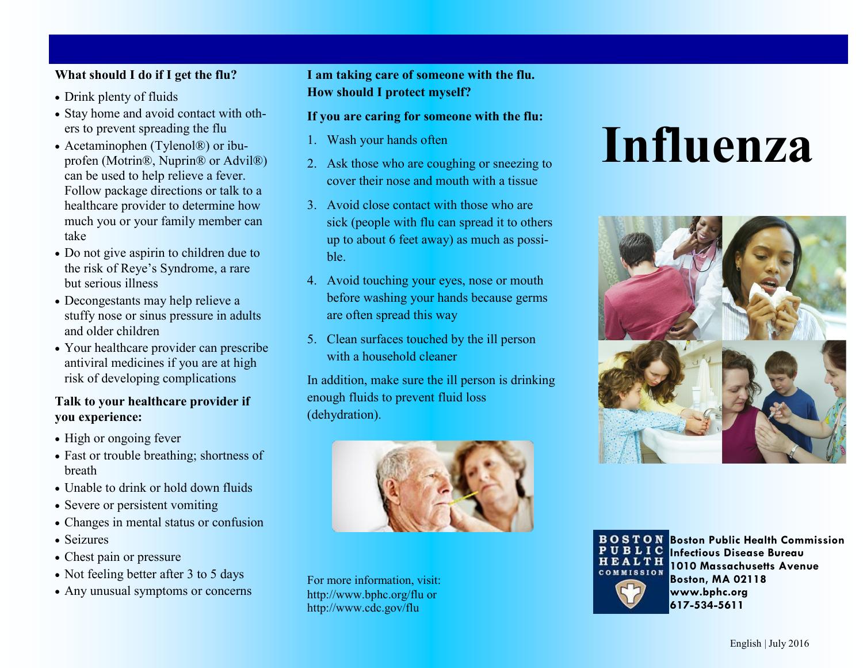#### **What should I do if I get the flu?**

- Drink plenty of fluids
- Stay home and avoid contact with others to prevent spreading the flu
- Acetaminophen (Tylenol®) or ibuprofen (Motrin®, Nuprin® or Advil®) can be used to help relieve a fever. Follow package directions or talk to a healthcare provider to determine how much you or your family member can take
- Do not give aspirin to children due to the risk of Reye's Syndrome, a rare but serious illness
- Decongestants may help relieve a stuffy nose or sinus pressure in adults and older children
- Your healthcare provider can prescribe antiviral medicines if you are at high risk of developing complications

#### **Talk to your healthcare provider if you experience:**

- High or ongoing fever
- Fast or trouble breathing; shortness of breath
- Unable to drink or hold down fluids
- Severe or persistent vomiting
- Changes in mental status or confusion
- Seizures
- Chest pain or pressure
- Not feeling better after 3 to 5 days
- Any unusual symptoms or concerns

**I am taking care of someone with the flu. How should I protect myself?**

#### **If you are caring for someone with the flu:**

- 1. Wash your hands often
- 2. Ask those who are coughing or sneezing to cover their nose and mouth with a tissue
- 3. Avoid close contact with those who are sick (people with flu can spread it to others up to about 6 feet away) as much as possible.
- 4. Avoid touching your eyes, nose or mouth before washing your hands because germs are often spread this way
- 5. Clean surfaces touched by the ill person with a household cleaner

In addition, make sure the ill person is drinking enough fluids to prevent fluid loss (dehydration).



For more information, visit: http://www.bphc.org/flu or http://www.cdc.gov/flu

# **Influenza**





**Boston Public Health Commission Infectious Disease Bureau 1010 Massachusetts Avenue Boston, MA 02118 www.bphc.org 617-534-5611**